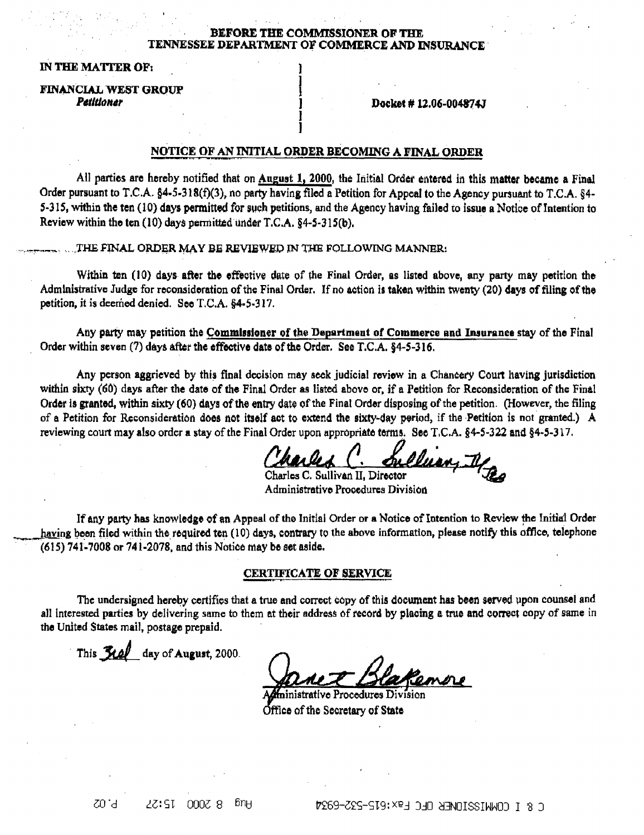#### .BEFORE THE COMMISSIONER OF THE TENNESSEE DEPARTMENT OF COMMERCE AND INSURANCE·

)  $\frac{1}{2}$ J ]  $\mathbf{l}$ 

IN THE MATTER OF:

**FINANCIAL WEST GROUP** Petitioner

Docket # 12.06-004874J

### NOTICE OF AN INITIAL ORDER BECOMING A FINAL ORDER

All parties are hereby notified that on August 1, 2000, the Initial Order entered in this matter became a Final Order pursuant to T.C.A. §4-5-318(f)(3), no party having filed a Petition for Appeal to the Agency pursuant to T.C.A. §4-5-315, within the ten (10) days permitted for such petitions, and the Agency having failed to issue a Notice of Intention to Review within the ten  $(10)$  days permitted under T.C.A.  $$4-5-315(b)$ .

THE FINAL ORDER MAY BE REVIEWED IN THE FOLLOWING MANNER:

Within ten (10) days after the effective date of the Final Order, as listed above, any party may petition the Administrative Judge for reconsideration of the Final Order. If no action is taken within twenty (20) days of filing of the petition, *it* is deemed denied. See T.C.A. §4·5-317.

Any party may petition the Commissioner of the Department of Commerce and Insurance stay of the Final Order within seven (7) days after the effective date of the Order. See T.C.A. §4-5-316.

Any person aggrieved by this final decision may seek judicial roviow in a Chancery Court having jurisdiction within sixty (60) days after the date of the Final Order as listed above or, if a Petition for Reconsideration of the Final Order is granted, within sixty  $(60)$  days of the entry date of the Final Order disposing of the petition. (However, the filing of a Petition for Reconsideration does not itself act to extend the sixty-day period, if the Petition is not granted.) A reviewing court may also order a stay of the Final Order upon appropriate terms. See T.C.A. §4-5-322 and §4-5-317.

Charles C. Sullian, If

Charles C. Sullivan II, Director **Figure 2014**<br>Administrative Procedures Division

If any party has knowledge of an Appeal of the Initial Order or a. Notice of Intention to Review the Initial Order having been filed within the required ten  $(10)$  days, contrary to the above information, please notify this office, telephone  $(615)$  741-7008 or 741-2078, and this Notice may be set aside.

### CERTIFICATE OF SERVICE

The undersigned hereby certifies that a true and correct copy of this document has been served upon counsel and all interested parties by delivering same to them at their address of record by placing a true and comet copy of same in the United States mail, postage prepaid.

This  $\frac{3}{4}$  day of August, 2000.

trative Procedures Division ffice of the Secretary of State

 $-50^\circ$  $2Z:ST$   $000Z$  8  $6nH$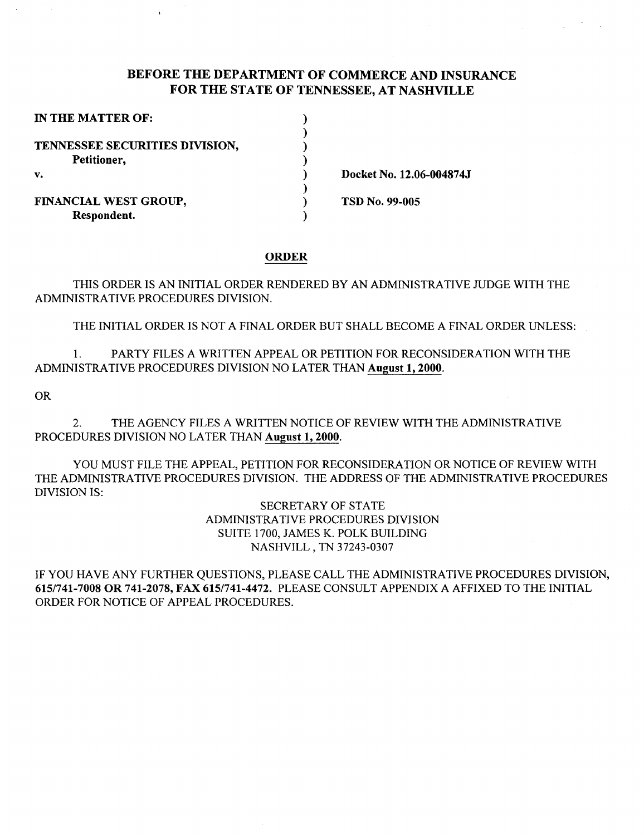# BEFORE THE DEPARTMENT OF COMMERCE AND INSURANCE FOR THE STATE OF TENNESSEE, AT NASHVILLE

| IN THE MATTER OF:              |  |
|--------------------------------|--|
|                                |  |
| TENNESSEE SECURITIES DIVISION, |  |
| Petitioner,                    |  |
| v.                             |  |
|                                |  |
| FINANCIAL WEST GROUP,          |  |
| Respondent.                    |  |

Docket No. 12.06-004874J

TSD No. 99-005

#### ORDER

THIS ORDER IS AN INITIAL ORDER RENDERED BY AN ADMINISTRATIVE JUDGE WITH THE ADMINISTRATIVE PROCEDURES DIVISION.

THE INITIAL ORDER IS NOT A FINAL ORDER BUT SHALL BECOME A FINAL ORDER UNLESS:

1. PARTY FILES A WRITTEN APPEAL OR PETITION FOR RECONSIDERATION WITH THE ADMINISTRATIVE PROCEDURES DIVISION NO LATER THAN August 1, 2000.

OR

2. THE AGENCY FILES A WRITTEN NOTICE OF REVIEW WITH THE ADMINISTRATIVE PROCEDURES DIVISION NO LATER THAN August 1, 2000.

YOU MUST FILE THE APPEAL, PETITION FOR RECONSIDERATION OR NOTICE OF REVIEW WITH THE ADMINISTRATIVE PROCEDURES DIVISION. THE ADDRESS OF THE ADMINISTRATIVE PROCEDURES DIVISION IS:

> SECRETARY OF STATE ADMINISTRATIVE PROCEDURES DIVISION SUITE 1700, JAMES K. POLK BUILDING NASHVILL, TN 37243-0307

IF YOU HAVE ANY FURTHER QUESTIONS, PLEASE CALL THE ADMINISTRATIVE PROCEDURES DIVISION, 6151741-7008 OR 741-2078, FAX 6151741-4472. PLEASE CONSULT APPENDIX A AFFIXED TO THE INITIAL ORDER FOR NOTICE OF APPEAL PROCEDURES.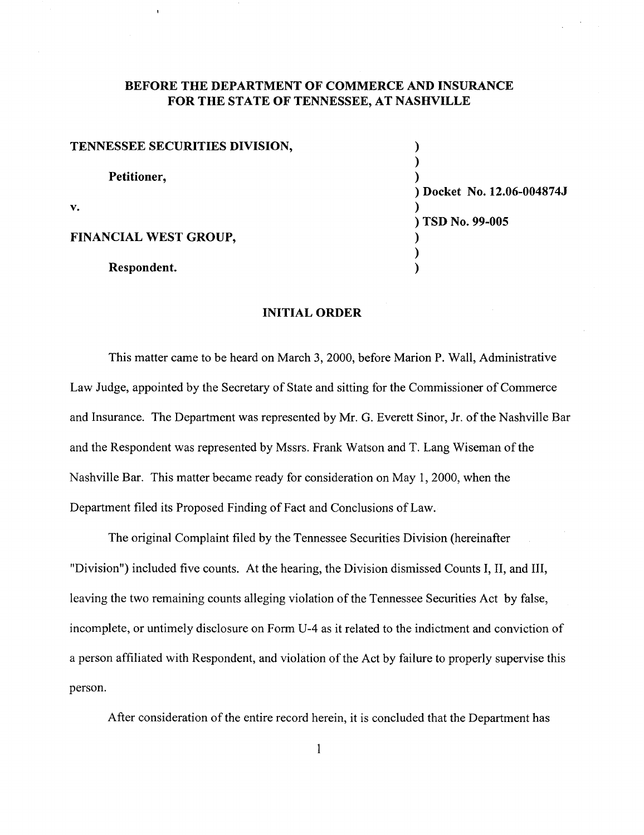# **BEFORE THE DEPARTMENT OF COMMERCE AND INSURANCE FOR THE STATE OF TENNESSEE, AT NASHVILLE**

| TENNESSEE SECURITIES DIVISION, |  |
|--------------------------------|--|
| Petitioner,                    |  |
| $\mathbf{v}$ .                 |  |
| <b>FINANCIAL WEST GROUP,</b>   |  |
| Respondent.                    |  |

) ) **Docket No. 12.06-004874J**  ) ) **TSD No. 99-005**  ) )

### **INITIAL ORDER**

This matter came to be heard on March 3, 2000, before Marion P. Wall, Administrative Law Judge, appointed by the Secretary of State and sitting for the Commissioner of Commerce and Insurance. The Department was represented by Mr. G. Everett Sinor, Jr. of the Nashville Bar and the Respondent was represented by Mssrs. Frank Watson and T. Lang Wiseman of the Nashville Bar. This matter became ready for consideration on May 1, 2000, when the Department filed its Proposed Finding of Fact and Conclusions of Law.

The original Complaint filed by the Tennessee Securities Division (hereinafter "Division") included five counts. At the hearing, the Division dismissed Counts I, II, and III, leaving the two remaining counts alleging violation of the Tennessee Securities Act by false, incomplete, or untimely disclosure on Form U-4 as it related to the indictment and conviction of a person affiliated with Respondent, and violation of the Act by failure to properly supervise this person.

After consideration of the entire record herein, it is concluded that the Department has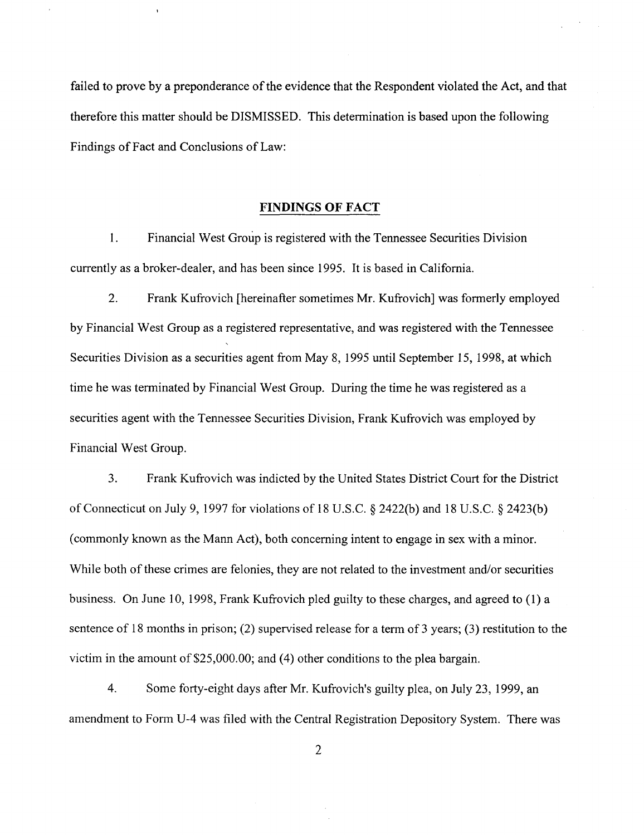failed to prove by a preponderance of the evidence that the Respondent violated the Act, and that therefore this matter should be DISMISSED. This determination is based upon the following Findings of Fact and Conclusions of Law:

### **FINDINGS OF FACT**

1. Financial West Group is registered with the Tennessee Securities Division currently as a broker-dealer, and has been since 1995. It is based in California.

2. Frank Kufrovich [hereinafter sometimes Mr. Kufrovich] was formerly employed by Financial West Group as a registered representative, and was registered with the Tennessee Securities Division as a securities agent from May 8, 1995 until September 15, 1998, at which time he was terminated by Financial West Group. During the time he was registered as a securities agent with the Tennessee Securities Division, Frank Kufrovich was employed by Financial West Group.

3. Frank Kufrovich was indicted by the United States District Court for the District of Connecticut on July 9, 1997 for violations of 18 U.S.C. § 2422(b) and 18 U.S.C. § 2423(b) (commonly known as the Mann Act), both concerning intent to engage in sex with a minor. While both of these crimes are felonies, they are not related to the investment and/or securities business. On June 10, 1998, Frank Kufrovich pled guilty to these charges, and agreed to ( **1)** a sentence of 18 months in prison; (2) supervised release for a term of 3 years; (3) restitution to the victim in the amount of  $$25,000.00$ ; and (4) other conditions to the plea bargain.

4. Some forty-eight days after Mr. Kufrovich's guilty plea, on July 23, 1999, an amendment to Form U-4 was filed with the Central Registration Depository System. There was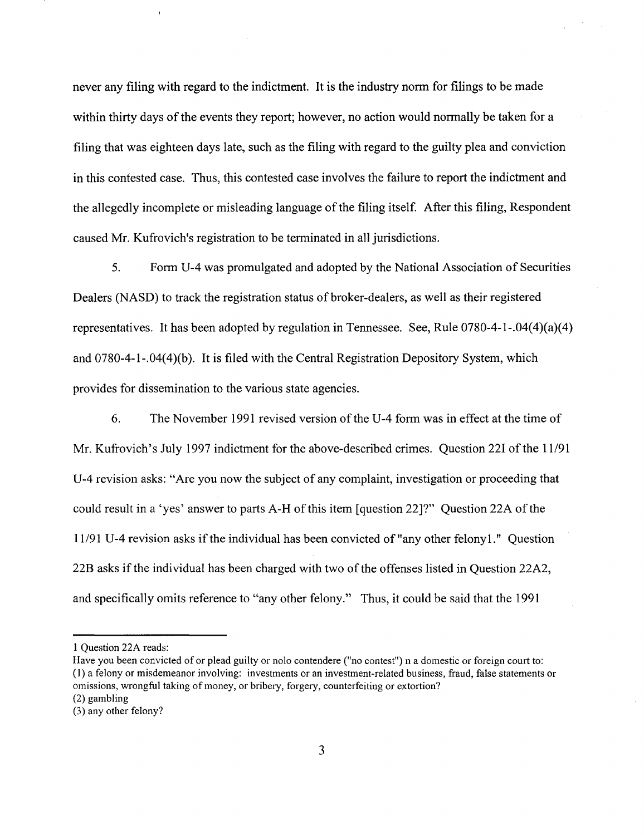never any filing with regard to the indictment. It is the industry norm for filings to be made within thirty days of the events they report; however, no action would normally be taken for a filing that was eighteen days late, such as the filing with regard to the guilty plea and conviction in this contested case. Thus, this contested case involves the failure to report the indictment and the allegedly incomplete or misleading language of the filing itself. After this filing, Respondent caused Mr. Kufrovich's registration to be terminated in all jurisdictions.

5. Form U-4 was promulgated and adopted by the National Association of Securities Dealers (NASD) to track the registration status of broker-dealers, as well as their registered representatives. It has been adopted by regulation in Tennessee. See, Rule 0780-4-1-.04(4)(a)(4) and 0780-4-1-.04(4)(b). It is filed with the Central Registration Depository System, which provides for dissemination to the various state agencies.

6. The November 1991 revised version ofthe U-4 form was in effect at the time of Mr. Kufrovich's July 1997 indictment for the above-described crimes. Question 221 of the 11/91 U-4 revision asks: "Are you now the subject of any complaint, investigation or proceeding that could result in a 'yes' answer to parts A-H of this item [question 22]?" Question 22A of the 11191 U-4 revision asks ifthe individual has been convicted of"any other felonyl." Question 22B asks if the individual has been charged with two of the offenses listed in Question 22A2, and specifically omits reference to "any other felony." Thus, it could be said that the 1991

<sup>1</sup> Question 22A reads:

Have you been convicted of or plead guilty or nolo contendere ("no contest") n a domestic or foreign court to: ( 1) a felony or misdemeanor involving: investments or an investment-related business, fraud, false statements or omissions, wrongful taking of money, or bribery, forgery, counterfeiting or extortion? (2) gambling

<sup>(3)</sup> any other felony?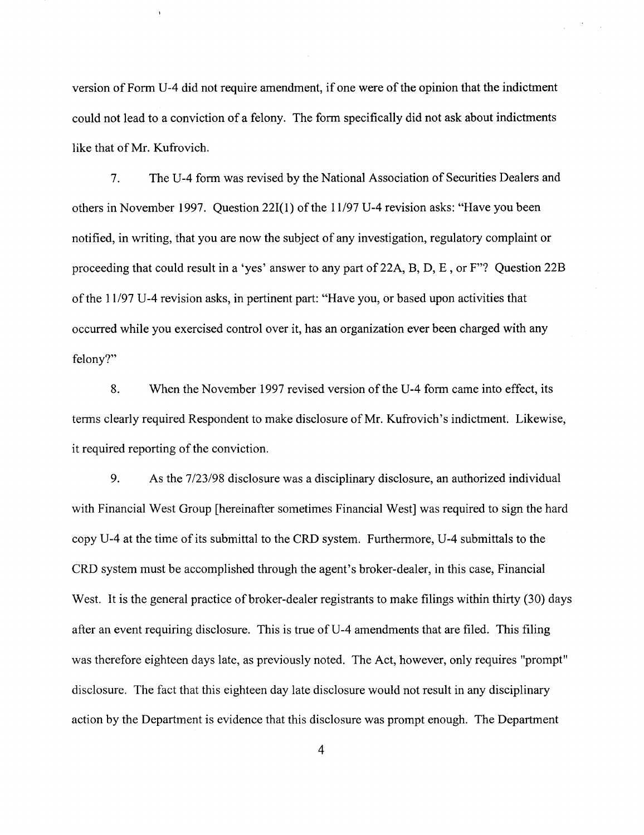version of Form U-4 did not require amendment, if one were of the opinion that the indictment could not lead to a conviction of a felony. The form specifically did not ask about indictments like that of Mr. Kufrovich.

7. The U-4 form was revised by the National Association of Securities Dealers and others in November 1997. Question 22I(1) of the 11/97 U-4 revision asks: "Have you been notified, in writing, that you are now the subject of any investigation, regulatory complaint or proceeding that could result in a 'yes' answer to any part of22A, B, D, E, or F"? Question 22B of the 11197 U-4 revision asks, in pertinent part: "Have you, or based upon activities that occurred while you exercised control over it, has an organization ever been charged with any felony?"

8. When the November 1997 revised version of the U-4 form came into effect, its terms clearly required Respondent to make disclosure of Mr. Kufrovich's indictment. Likewise, it required reporting of the conviction.

9. As the 7/23/98 disclosure was a disciplinary disclosure, an authorized individual with Financial West Group [hereinafter sometimes Financial West] was required to sign the hard copy U-4 at the time of its submittal to the CRD system. Furthermore, U-4 submittals to the CRD system must be accomplished through the agent's broker-dealer, in this case, Financial West. It is the general practice of broker-dealer registrants to make filings within thirty (30) days after an event requiring disclosure. This is true of U-4 amendments that are filed. This filing was therefore eighteen days late, as previously noted. The Act, however, only requires "prompt" disclosure. The fact that this eighteen day late disclosure would not result in any disciplinary action by the Department is evidence that this disclosure was prompt enough. The Department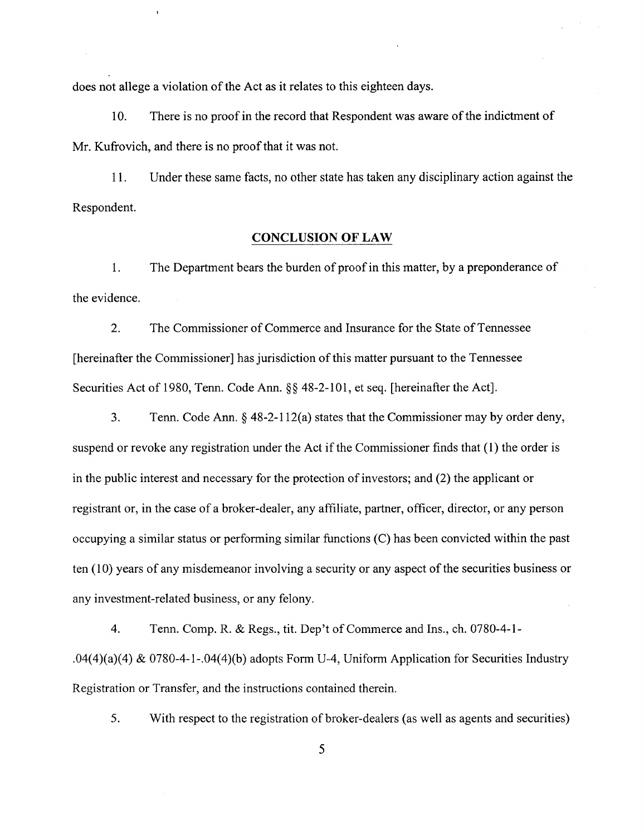does not allege a violation of the Act as it relates to this eighteen days.

10. There is no proof in the record that Respondent was aware of the indictment of Mr. Kufrovich, and there is no proof that it was not.

11. Under these same facts, no other state has taken any disciplinary action against the Respondent.

### **CONCLUSION OF LAW**

1. The Department bears the burden of proof in this matter, by a preponderance of the evidence.

2. The Commissioner of Commerce and Insurance for the State of Tennessee [hereinafter the Commissioner] has jurisdiction of this matter pursuant to the Tennessee Securities Act of 1980, Tenn. Code Ann.§§ 48-2-101, et seq. [hereinafter the Act].

3. Tenn. Code Ann.§ 48-2-112(a) states that the Commissioner may by order deny, suspend or revoke any registration under the Act if the Commissioner finds that ( 1) the order is in the public interest and necessary for the protection of investors; and (2) the applicant or registrant or, in the case of a broker-dealer, any affiliate, partner, officer, director, or any person occupying a similar status or performing similar functions (C) has been convicted within the past ten (10) years of any misdemeanor involving a security or any aspect of the securities business or any investment-related business, or any felony.

4. Tenn. Comp. R. & Regs., tit. Dep't of Commerce and Ins., ch. 0780-4-1- .04(4)(a)(4) & 0780-4-1-.04(4)(b) adopts Form U-4, Uniform Application for Securities Industry Registration or Transfer, and the instructions contained therein.

5. With respect to the registration of broker-dealers (as well as agents and securities)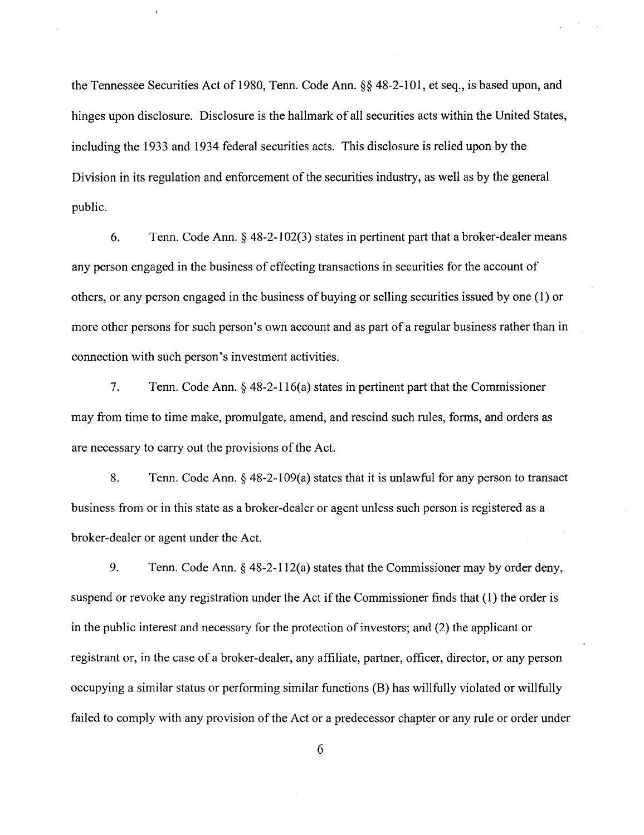the Tennessee Securities Act of 1980, Tenn. Code Ann.§§ 48-2-101, et seq., is based upon, and hinges upon disclosure. Disclosure is the hallmark of all securities acts within the United States, including the 1933 and 1934 federal securities acts. This disclosure is relied upon by the Division in its regulation and enforcement of the securities industry, as well as by the general public.

6. Tenn. Code Ann. § 48-2-102(3) states in pertinent part that a broker-dealer means any person engaged in the business of effecting transactions in securities for the account of others, or any person engaged in the business of buying or selling securities issued by one (1) or more other persons for such person's own account and as part of a regular business rather than in connection with such person's investment activities.

7. Tenn. Code Ann. § 48-2-116(a) states in pertinent part that the Commissioner may from time to time make, promulgate, amend, and rescind such rules, forms, and orders as are necessary to carry out the provisions of the Act.

8. Tenn. Code Ann.§ 48-2-109(a) states that it is unlawful for any person to transact business from or in this state as a broker-dealer or agent unless such person is registered as a broker-dealer or agent under the Act.

9. Tenn. Code Ann.§ 48-2-112(a) states that the Commissioner may by order deny, suspend or revoke any registration under the Act if the Commissioner finds that (1) the order is in the public interest and necessary for the protection of investors; and (2) the applicant or registrant or, in the case of a broker-dealer, any affiliate, partner, officer, director, or any person occupying a similar status or performing similar functions (B) has willfully violated or willfully failed to comply with any provision of the Act or a predecessor chapter or any rule or order under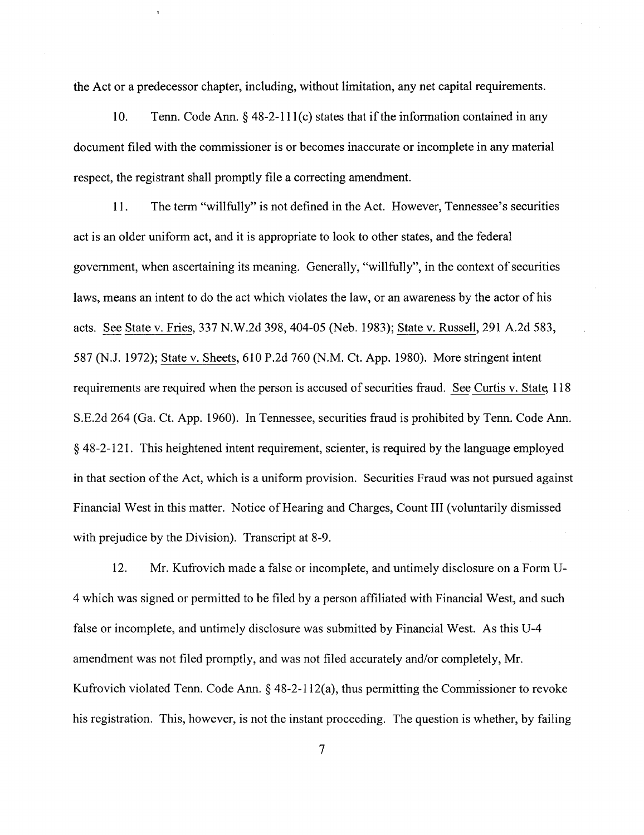the Act or a predecessor chapter, including, without limitation, any net capital requirements.

10. Tenn. Code Ann. § 48-2-111(c) states that if the information contained in any document filed with the commissioner is or becomes inaccurate or incomplete in any material respect, the registrant shall promptly file a correcting amendment.

11. The term "willfully" is not defined in the Act. However, Tennessee's securities act is an older uniform act, and it is appropriate to look to other states, and the federal government, when ascertaining its meaning. Generally, "willfully", in the context of securities laws, means an intent to do the act which violates the law, or an awareness by the actor of his acts. See State v. Fries, 337 N.W.2d 398,404-05 (Neb. 1983); State v. Russell, 291 A.2d 583, 587 (N.J. 1972); State v. Sheets, 610 P.2d 760 (N.M. Ct. App. 1980). More stringent intent requirements are required when the person is accused of securities fraud. See Curtis v. State 118 S.E.2d 264 (Ga. Ct. App. 1960). In Tennessee, securities fraud is prohibited by Tenn. Code Ann. § 48-2-121. This heightened intent requirement, scienter, is required by the language employed in that section of the Act, which is a uniform provision. Securities Fraud was not pursued against Financial West in this matter. Notice of Hearing and Charges, Count III (voluntarily dismissed with prejudice by the Division). Transcript at 8-9.

12. Mr. Kufrovich made a false or incomplete, and untimely disclosure on a Form U-4 which was signed or permitted to be filed by a person affiliated with Financial West, and such false or incomplete, and untimely disclosure was submitted by Financial West. As this U-4 amendment was not filed promptly, and was not filed accurately and/or completely, Mr. Kufrovich violated Tenn. Code Ann.§ 48-2-112(a), thus permitting the Commissioner to revoke his registration. This, however, is not the instant proceeding. The question is whether, by failing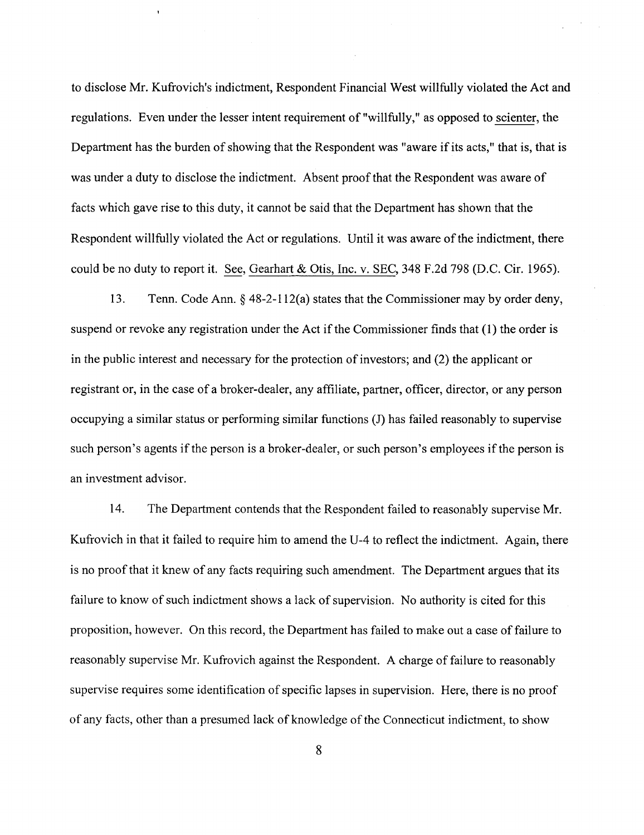to disclose Mr. Kufrovich's indictment, Respondent Financial West willfully violated the Act and regulations. Even under the lesser intent requirement of "willfully," as opposed to scienter, the Department has the burden of showing that the Respondent was "aware if its acts," that is, that is was under a duty to disclose the indictment. Absent proof that the Respondent was aware of facts which gave rise to this duty, it cannot be said that the Department has shown that the Respondent willfully violated the Act or regulations. Until it was aware of the indictment, there could be no duty to report it. See, Gearhart & Otis, Inc. v. SEC, 348 F.2d 798 (D.C. Cir. 1965).

13. Tenn. Code Ann. § 48-2-112(a) states that the Commissioner may by order deny, suspend or revoke any registration under the Act if the Commissioner finds that (1) the order is in the public interest and necessary for the protection of investors; and (2) the applicant or registrant or, in the case of a broker-dealer, any affiliate, partner, officer, director, or any person occupying a similar status or performing similar functions (J) has failed reasonably to supervise such person's agents if the person is a broker-dealer, or such person's employees if the person is an investment advisor.

14. The Department contends that the Respondent failed to reasonably supervise Mr. Kufrovich in that it failed to require him to amend the U-4 to reflect the indictment. Again, there is no proof that it knew of any facts requiring such amendment. The Department argues that its failure to know of such indictment shows a lack of supervision. No authority is cited for this proposition, however. On this record, the Department has failed to make out a case of failure to reasonably supervise Mr. Kufrovich against the Respondent. A charge of failure to reasonably supervise requires some identification of specific lapses in supervision. Here, there is no proof of any facts, other than a presumed lack of knowledge of the Connecticut indictment, to show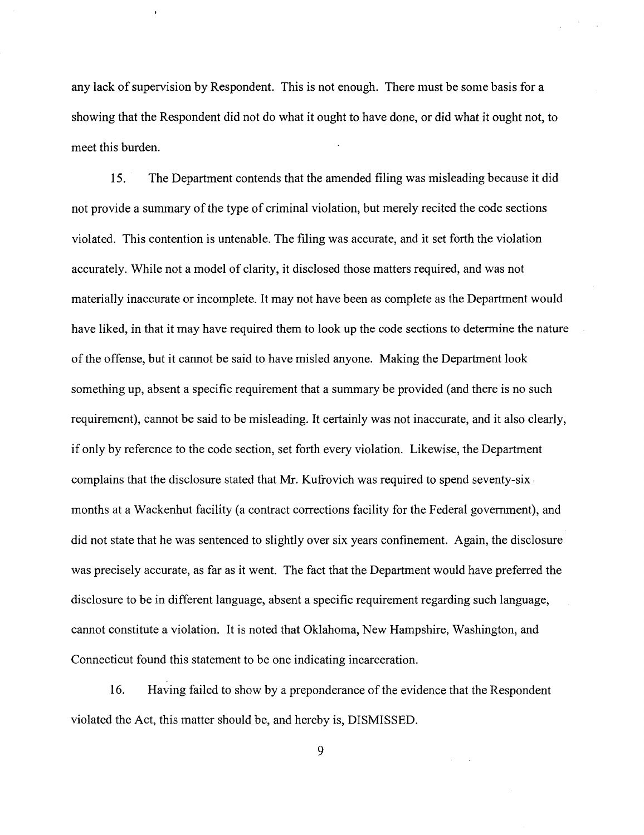any lack of supervision by Respondent. This is not enough. There must be some basis for a showing that the Respondent did not do what it ought to have done, or did what it ought not, to meet this burden.

15. The Department contends that the amended filing was misleading because it did not provide a summary of the type of criminal violation, but merely recited the code sections violated. This contention is untenable. The filing was accurate, and it set forth the violation accurately. While not a model of clarity, it disclosed those matters required, and was not materially inaccurate or incomplete. It may not have been as complete as the Department would have liked, in that it may have required them to look up the code sections to determine the nature of the offense, but it cannot be said to have misled anyone. Making the Department look something up, absent a specific requirement that a summary be provided (and there is no such requirement), cannot be said to be misleading. It certainly was not inaccurate, and it also clearly, if only by reference to the code section, set forth every violation. Likewise, the Department complains that the disclosure stated that Mr. Kufrovich was required to spend seventy-six . months at a Wackenhut facility (a contract corrections facility for the Federal government), and did not state that he was sentenced to slightly over six years confinement. Again, the disclosure was precisely accurate, as far as it went. The fact that the Department would have preferred the disclosure to be in different language, absent a specific requirement regarding such language, cannot constitute a violation. It is noted that Oklahoma, New Hampshire, Washington, and Connecticut found this statement to be one indicating incarceration.

16. Having failed to show by a preponderance of the evidence that the Respondent violated the Act, this matter should be, and hereby is, DISMISSED.